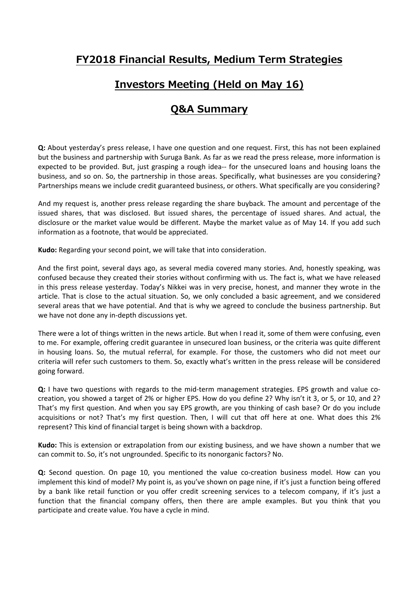### **Investors Meeting (Held on May 16)**

### **Q&A Summary**

**Q:** About yesterday's press release, I have one question and one request. First, this has not been explained but the business and partnership with Suruga Bank. As far as we read the press release, more information is expected to be provided. But, just grasping a rough idea-- for the unsecured loans and housing loans the business, and so on. So, the partnership in those areas. Specifically, what businesses are you considering? Partnerships means we include credit guaranteed business, or others. What specifically are you considering?

And my request is, another press release regarding the share buyback. The amount and percentage of the issued shares, that was disclosed. But issued shares, the percentage of issued shares. And actual, the disclosure or the market value would be different. Maybe the market value as of May 14. If you add such information as a footnote, that would be appreciated.

**Kudo:** Regarding your second point, we will take that into consideration.

And the first point, several days ago, as several media covered many stories. And, honestly speaking, was confused because they created their stories without confirming with us. The fact is, what we have released in this press release yesterday. Today's Nikkei was in very precise, honest, and manner they wrote in the article. That is close to the actual situation. So, we only concluded a basic agreement, and we considered several areas that we have potential. And that is why we agreed to conclude the business partnership. But we have not done any in-depth discussions yet.

There were a lot of things written in the news article. But when I read it, some of them were confusing, even to me. For example, offering credit guarantee in unsecured loan business, or the criteria was quite different in housing loans. So, the mutual referral, for example. For those, the customers who did not meet our criteria will refer such customers to them. So, exactly what's written in the press release will be considered going forward.

**Q:** I have two questions with regards to the mid-term management strategies. EPS growth and value cocreation, you showed a target of 2% or higher EPS. How do you define 2? Why isn't it 3, or 5, or 10, and 2? That's my first question. And when you say EPS growth, are you thinking of cash base? Or do you include acquisitions or not? That's my first question. Then, I will cut that off here at one. What does this 2% represent? This kind of financial target is being shown with a backdrop.

**Kudo:** This is extension or extrapolation from our existing business, and we have shown a number that we can commit to. So, it's not ungrounded. Specific to its nonorganic factors? No.

**Q:** Second question. On page 10, you mentioned the value co-creation business model. How can you implement this kind of model? My point is, as you've shown on page nine, if it's just a function being offered by a bank like retail function or you offer credit screening services to a telecom company, if it's just a function that the financial company offers, then there are ample examples. But you think that you participate and create value. You have a cycle in mind.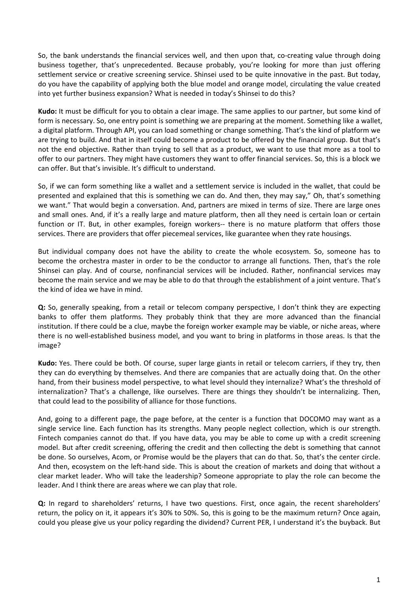So, the bank understands the financial services well, and then upon that, co-creating value through doing business together, that's unprecedented. Because probably, you're looking for more than just offering settlement service or creative screening service. Shinsei used to be quite innovative in the past. But today, do you have the capability of applying both the blue model and orange model, circulating the value created into yet further business expansion? What is needed in today's Shinsei to do this?

**Kudo:** It must be difficult for you to obtain a clear image. The same applies to our partner, but some kind of form is necessary. So, one entry point is something we are preparing at the moment. Something like a wallet, a digital platform. Through API, you can load something or change something. That's the kind of platform we are trying to build. And that in itself could become a product to be offered by the financial group. But that's not the end objective. Rather than trying to sell that as a product, we want to use that more as a tool to offer to our partners. They might have customers they want to offer financial services. So, this is a block we can offer. But that's invisible. It's difficult to understand.

So, if we can form something like a wallet and a settlement service is included in the wallet, that could be presented and explained that this is something we can do. And then, they may say," Oh, that's something we want." That would begin a conversation. And, partners are mixed in terms of size. There are large ones and small ones. And, if it's a really large and mature platform, then all they need is certain loan or certain function or IT. But, in other examples, foreign workers-- there is no mature platform that offers those services. There are providers that offer piecemeal services, like guarantee when they rate housings.

But individual company does not have the ability to create the whole ecosystem. So, someone has to become the orchestra master in order to be the conductor to arrange all functions. Then, that's the role Shinsei can play. And of course, nonfinancial services will be included. Rather, nonfinancial services may become the main service and we may be able to do that through the establishment of a joint venture. That's the kind of idea we have in mind.

**Q:** So, generally speaking, from a retail or telecom company perspective, I don't think they are expecting banks to offer them platforms. They probably think that they are more advanced than the financial institution. If there could be a clue, maybe the foreign worker example may be viable, or niche areas, where there is no well‐established business model, and you want to bring in platforms in those areas. Is that the image?

**Kudo:** Yes. There could be both. Of course, super large giants in retail or telecom carriers, if they try, then they can do everything by themselves. And there are companies that are actually doing that. On the other hand, from their business model perspective, to what level should they internalize? What's the threshold of internalization? That's a challenge, like ourselves. There are things they shouldn't be internalizing. Then, that could lead to the possibility of alliance for those functions.

And, going to a different page, the page before, at the center is a function that DOCOMO may want as a single service line. Each function has its strengths. Many people neglect collection, which is our strength. Fintech companies cannot do that. If you have data, you may be able to come up with a credit screening model. But after credit screening, offering the credit and then collecting the debt is something that cannot be done. So ourselves, Acom, or Promise would be the players that can do that. So, that's the center circle. And then, ecosystem on the left-hand side. This is about the creation of markets and doing that without a clear market leader. Who will take the leadership? Someone appropriate to play the role can become the leader. And I think there are areas where we can play that role.

**Q:** In regard to shareholders' returns, I have two questions. First, once again, the recent shareholders' return, the policy on it, it appears it's 30% to 50%. So, this is going to be the maximum return? Once again, could you please give us your policy regarding the dividend? Current PER, I understand it's the buyback. But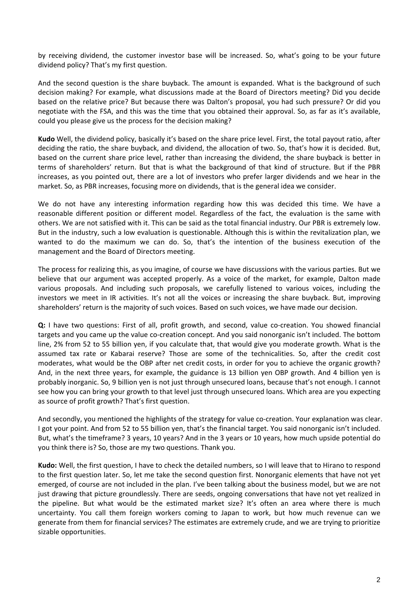by receiving dividend, the customer investor base will be increased. So, what's going to be your future dividend policy? That's my first question.

And the second question is the share buyback. The amount is expanded. What is the background of such decision making? For example, what discussions made at the Board of Directors meeting? Did you decide based on the relative price? But because there was Dalton's proposal, you had such pressure? Or did you negotiate with the FSA, and this was the time that you obtained their approval. So, as far as it's available, could you please give us the process for the decision making?

**Kudo** Well, the dividend policy, basically it's based on the share price level. First, the total payout ratio, after deciding the ratio, the share buyback, and dividend, the allocation of two. So, that's how it is decided. But, based on the current share price level, rather than increasing the dividend, the share buyback is better in terms of shareholders' return. But that is what the background of that kind of structure. But if the PBR increases, as you pointed out, there are a lot of investors who prefer larger dividends and we hear in the market. So, as PBR increases, focusing more on dividends, that is the general idea we consider.

We do not have any interesting information regarding how this was decided this time. We have a reasonable different position or different model. Regardless of the fact, the evaluation is the same with others. We are not satisfied with it. This can be said as the total financial industry. Our PBR is extremely low. But in the industry, such a low evaluation is questionable. Although this is within the revitalization plan, we wanted to do the maximum we can do. So, that's the intention of the business execution of the management and the Board of Directors meeting.

The process for realizing this, as you imagine, of course we have discussions with the various parties. But we believe that our argument was accepted properly. As a voice of the market, for example, Dalton made various proposals. And including such proposals, we carefully listened to various voices, including the investors we meet in IR activities. It's not all the voices or increasing the share buyback. But, improving shareholders' return is the majority of such voices. Based on such voices, we have made our decision.

**Q:** I have two questions: First of all, profit growth, and second, value co-creation. You showed financial targets and you came up the value co-creation concept. And you said nonorganic isn't included. The bottom line, 2% from 52 to 55 billion yen, if you calculate that, that would give you moderate growth. What is the assumed tax rate or Kabarai reserve? Those are some of the technicalities. So, after the credit cost moderates, what would be the OBP after net credit costs, in order for you to achieve the organic growth? And, in the next three years, for example, the guidance is 13 billion yen OBP growth. And 4 billion yen is probably inorganic. So, 9 billion yen is not just through unsecured loans, because that's not enough. I cannot see how you can bring your growth to that level just through unsecured loans. Which area are you expecting as source of profit growth? That's first question.

And secondly, you mentioned the highlights of the strategy for value co-creation. Your explanation was clear. I got your point. And from 52 to 55 billion yen, that's the financial target. You said nonorganic isn't included. But, what's the timeframe? 3 years, 10 years? And in the 3 years or 10 years, how much upside potential do you think there is? So, those are my two questions. Thank you.

**Kudo:** Well, the first question, I have to check the detailed numbers, so I will leave that to Hirano to respond to the first question later. So, let me take the second question first. Nonorganic elements that have not yet emerged, of course are not included in the plan. I've been talking about the business model, but we are not just drawing that picture groundlessly. There are seeds, ongoing conversations that have not yet realized in the pipeline. But what would be the estimated market size? It's often an area where there is much uncertainty. You call them foreign workers coming to Japan to work, but how much revenue can we generate from them for financial services? The estimates are extremely crude, and we are trying to prioritize sizable opportunities.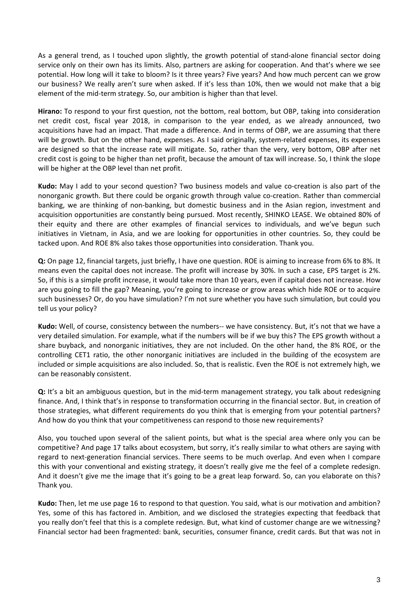As a general trend, as I touched upon slightly, the growth potential of stand-alone financial sector doing service only on their own has its limits. Also, partners are asking for cooperation. And that's where we see potential. How long will it take to bloom? Is it three years? Five years? And how much percent can we grow our business? We really aren't sure when asked. If it's less than 10%, then we would not make that a big element of the mid-term strategy. So, our ambition is higher than that level.

**Hirano:** To respond to your first question, not the bottom, real bottom, but OBP, taking into consideration net credit cost, fiscal year 2018, in comparison to the year ended, as we already announced, two acquisitions have had an impact. That made a difference. And in terms of OBP, we are assuming that there will be growth. But on the other hand, expenses. As I said originally, system-related expenses, its expenses are designed so that the increase rate will mitigate. So, rather than the very, very bottom, OBP after net credit cost is going to be higher than net profit, because the amount of tax will increase. So, I think the slope will be higher at the OBP level than net profit.

**Kudo:** May I add to your second question? Two business models and value co-creation is also part of the nonorganic growth. But there could be organic growth through value co-creation. Rather than commercial banking, we are thinking of non‐banking, but domestic business and in the Asian region, investment and acquisition opportunities are constantly being pursued. Most recently, SHINKO LEASE. We obtained 80% of their equity and there are other examples of financial services to individuals, and we've begun such initiatives in Vietnam, in Asia, and we are looking for opportunities in other countries. So, they could be tacked upon. And ROE 8% also takes those opportunities into consideration. Thank you.

**Q:** On page 12, financial targets, just briefly, I have one question. ROE is aiming to increase from 6% to 8%. It means even the capital does not increase. The profit will increase by 30%. In such a case, EPS target is 2%. So, if this is a simple profit increase, it would take more than 10 years, even if capital does not increase. How are you going to fill the gap? Meaning, you're going to increase or grow areas which hide ROE or to acquire such businesses? Or, do you have simulation? I'm not sure whether you have such simulation, but could you tell us your policy?

Kudo: Well, of course, consistency between the numbers-- we have consistency. But, it's not that we have a very detailed simulation. For example, what if the numbers will be if we buy this? The EPS growth without a share buyback, and nonorganic initiatives, they are not included. On the other hand, the 8% ROE, or the controlling CET1 ratio, the other nonorganic initiatives are included in the building of the ecosystem are included or simple acquisitions are also included. So, that is realistic. Even the ROE is not extremely high, we can be reasonably consistent.

**Q:** It's a bit an ambiguous question, but in the mid-term management strategy, you talk about redesigning finance. And, I think that's in response to transformation occurring in the financial sector. But, in creation of those strategies, what different requirements do you think that is emerging from your potential partners? And how do you think that your competitiveness can respond to those new requirements?

Also, you touched upon several of the salient points, but what is the special area where only you can be competitive? And page 17 talks about ecosystem, but sorry, it's really similar to what others are saying with regard to next‐generation financial services. There seems to be much overlap. And even when I compare this with your conventional and existing strategy, it doesn't really give me the feel of a complete redesign. And it doesn't give me the image that it's going to be a great leap forward. So, can you elaborate on this? Thank you.

**Kudo:** Then, let me use page 16 to respond to that question. You said, what is our motivation and ambition? Yes, some of this has factored in. Ambition, and we disclosed the strategies expecting that feedback that you really don't feel that this is a complete redesign. But, what kind of customer change are we witnessing? Financial sector had been fragmented: bank, securities, consumer finance, credit cards. But that was not in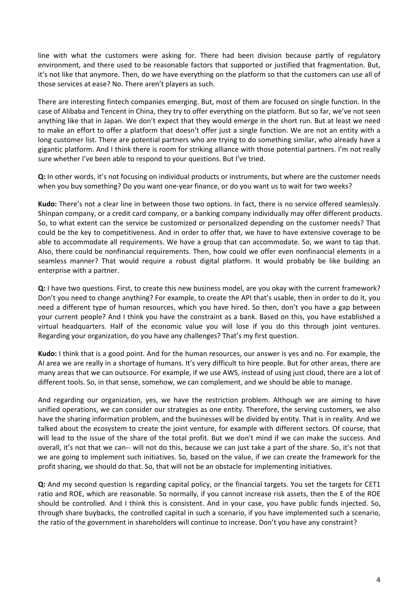line with what the customers were asking for. There had been division because partly of regulatory environment, and there used to be reasonable factors that supported or justified that fragmentation. But, it's not like that anymore. Then, do we have everything on the platform so that the customers can use all of those services at ease? No. There aren't players as such.

There are interesting fintech companies emerging. But, most of them are focused on single function. In the case of Alibaba and Tencent in China, they try to offer everything on the platform. But so far, we've not seen anything like that in Japan. We don't expect that they would emerge in the short run. But at least we need to make an effort to offer a platform that doesn't offer just a single function. We are not an entity with a long customer list. There are potential partners who are trying to do something similar, who already have a gigantic platform. And I think there is room for striking alliance with those potential partners. I'm not really sure whether I've been able to respond to your questions. But I've tried.

**Q:** In other words, it's not focusing on individual products or instruments, but where are the customer needs when you buy something? Do you want one-year finance, or do you want us to wait for two weeks?

**Kudo:** There's not a clear line in between those two options. In fact, there is no service offered seamlessly. Shinpan company, or a credit card company, or a banking company individually may offer different products. So, to what extent can the service be customized or personalized depending on the customer needs? That could be the key to competitiveness. And in order to offer that, we have to have extensive coverage to be able to accommodate all requirements. We have a group that can accommodate. So, we want to tap that. Also, there could be nonfinancial requirements. Then, how could we offer even nonfinancial elements in a seamless manner? That would require a robust digital platform. It would probably be like building an enterprise with a partner.

**Q:** I have two questions. First, to create this new business model, are you okay with the current framework? Don't you need to change anything? For example, to create the API that's usable, then in order to do it, you need a different type of human resources, which you have hired. So then, don't you have a gap between your current people? And I think you have the constraint as a bank. Based on this, you have established a virtual headquarters. Half of the economic value you will lose if you do this through joint ventures. Regarding your organization, do you have any challenges? That's my first question.

**Kudo:** I think that is a good point. And for the human resources, our answer is yes and no. For example, the AI area we are really in a shortage of humans. It's very difficult to hire people. But for other areas, there are many areas that we can outsource. For example, if we use AWS, instead of using just cloud, there are a lot of different tools. So, in that sense, somehow, we can complement, and we should be able to manage.

And regarding our organization, yes, we have the restriction problem. Although we are aiming to have unified operations, we can consider our strategies as one entity. Therefore, the serving customers, we also have the sharing information problem, and the businesses will be divided by entity. That is in reality. And we talked about the ecosystem to create the joint venture, for example with different sectors. Of course, that will lead to the issue of the share of the total profit. But we don't mind if we can make the success. And overall, it's not that we can‐‐ will not do this, because we can just take a part of the share. So, it's not that we are going to implement such initiatives. So, based on the value, if we can create the framework for the profit sharing, we should do that. So, that will not be an obstacle for implementing initiatives.

**Q:** And my second question is regarding capital policy, or the financial targets. You set the targets for CET1 ratio and ROE, which are reasonable. So normally, if you cannot increase risk assets, then the E of the ROE should be controlled. And I think this is consistent. And in your case, you have public funds injected. So, through share buybacks, the controlled capital in such a scenario, if you have implemented such a scenario, the ratio of the government in shareholders will continue to increase. Don't you have any constraint?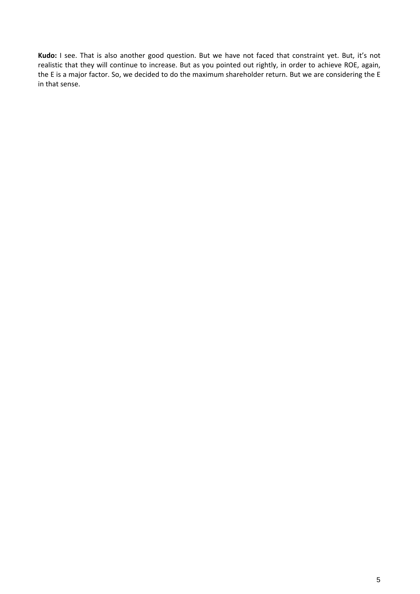**Kudo:** I see. That is also another good question. But we have not faced that constraint yet. But, it's not realistic that they will continue to increase. But as you pointed out rightly, in order to achieve ROE, again, the E is a major factor. So, we decided to do the maximum shareholder return. But we are considering the E in that sense.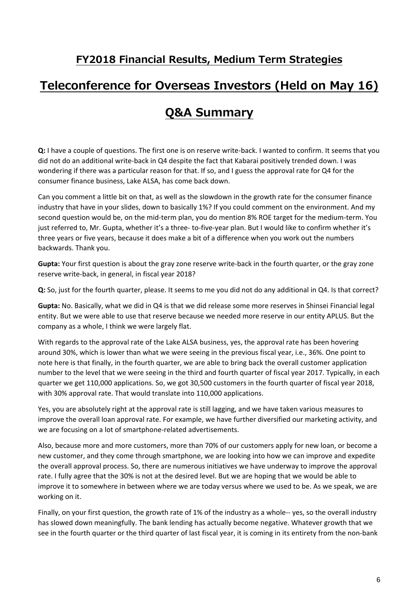#### **FY2018 Financial Results, Medium Term Strategies**

## **Teleconference for Overseas Investors (Held on May 16)**

# **Q&A Summary**

**Q:** I have a couple of questions. The first one is on reserve write‐back. I wanted to confirm. It seems that you did not do an additional write‐back in Q4 despite the fact that Kabarai positively trended down. I was wondering if there was a particular reason for that. If so, and I guess the approval rate for Q4 for the consumer finance business, Lake ALSA, has come back down.

Can you comment a little bit on that, as well as the slowdown in the growth rate for the consumer finance industry that have in your slides, down to basically 1%? If you could comment on the environment. And my second question would be, on the mid-term plan, you do mention 8% ROE target for the medium-term. You just referred to, Mr. Gupta, whether it's a three- to-five-year plan. But I would like to confirm whether it's three years or five years, because it does make a bit of a difference when you work out the numbers backwards. Thank you.

**Gupta:** Your first question is about the gray zone reserve write-back in the fourth quarter, or the gray zone reserve write‐back, in general, in fiscal year 2018?

**Q:** So, just for the fourth quarter, please. It seems to me you did not do any additional in Q4. Is that correct?

**Gupta:** No. Basically, what we did in Q4 is that we did release some more reserves in Shinsei Financial legal entity. But we were able to use that reserve because we needed more reserve in our entity APLUS. But the company as a whole, I think we were largely flat.

With regards to the approval rate of the Lake ALSA business, yes, the approval rate has been hovering around 30%, which is lower than what we were seeing in the previous fiscal year, i.e., 36%. One point to note here is that finally, in the fourth quarter, we are able to bring back the overall customer application number to the level that we were seeing in the third and fourth quarter of fiscal year 2017. Typically, in each quarter we get 110,000 applications. So, we got 30,500 customers in the fourth quarter of fiscal year 2018, with 30% approval rate. That would translate into 110,000 applications.

Yes, you are absolutely right at the approval rate is still lagging, and we have taken various measures to improve the overall loan approval rate. For example, we have further diversified our marketing activity, and we are focusing on a lot of smartphone‐related advertisements.

Also, because more and more customers, more than 70% of our customers apply for new loan, or become a new customer, and they come through smartphone, we are looking into how we can improve and expedite the overall approval process. So, there are numerous initiatives we have underway to improve the approval rate. I fully agree that the 30% is not at the desired level. But we are hoping that we would be able to improve it to somewhere in between where we are today versus where we used to be. As we speak, we are working on it.

Finally, on your first question, the growth rate of 1% of the industry as a whole-- yes, so the overall industry has slowed down meaningfully. The bank lending has actually become negative. Whatever growth that we see in the fourth quarter or the third quarter of last fiscal year, it is coming in its entirety from the non‐bank